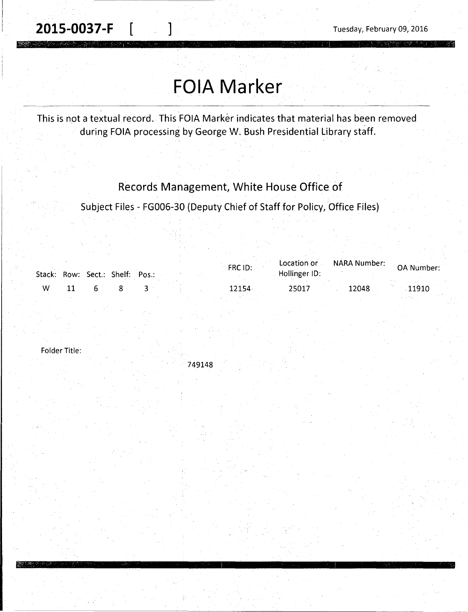$\frac{1}{2}$  . The contribution of the contribution of the contribution of the contribution of the contribution of the contribution of the contribution of the contribution of the contribution of the contribution of the contr

# **FOIA Marker**

This is not a textual record. This FOIA Marker indicates that material has been removed during FOIA processing by George W. Bush Presidential Library staff.

## Records Management, White House Office of

Subject Files - FG006-30 (Deputy Chief of Staff for Policy, Office Files)

|   | Stack: Row: Sect.: Shelf: Pos.: |  | FRC ID: | Location or<br>Hollinger ID: | NARA Number: | <b>OA Number:</b> |
|---|---------------------------------|--|---------|------------------------------|--------------|-------------------|
| W |                                 |  | 12154   | 2501.                        | 12048        | 11910             |

Folder Title:

749148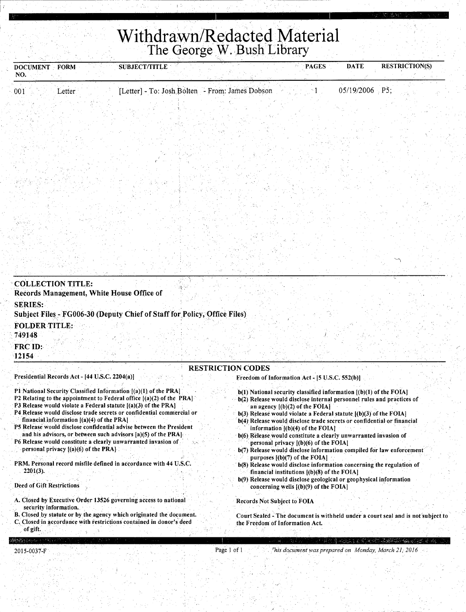## **Withdrawn/Redacted Material**  The George W. Bush Library

| <b>DOCUMENT</b><br>NO.                                                                                                                        | FORM                                                                                 | <b>SUBJECT/TITLE</b>                                                                                                                                                                                                                                                                                                                                                                                                                                                                           |                                                                       | <b>PAGES</b>                                                                                                                                                                                                                                                                                                                                                                                                                                                                                                                                                                                                       | <b>DATE</b>    | <b>RESTRICTION(S)</b>                                                            |
|-----------------------------------------------------------------------------------------------------------------------------------------------|--------------------------------------------------------------------------------------|------------------------------------------------------------------------------------------------------------------------------------------------------------------------------------------------------------------------------------------------------------------------------------------------------------------------------------------------------------------------------------------------------------------------------------------------------------------------------------------------|-----------------------------------------------------------------------|--------------------------------------------------------------------------------------------------------------------------------------------------------------------------------------------------------------------------------------------------------------------------------------------------------------------------------------------------------------------------------------------------------------------------------------------------------------------------------------------------------------------------------------------------------------------------------------------------------------------|----------------|----------------------------------------------------------------------------------|
| 001                                                                                                                                           | Letter                                                                               | [Letter] - To: Josh Bolten - From: James Dobson                                                                                                                                                                                                                                                                                                                                                                                                                                                |                                                                       |                                                                                                                                                                                                                                                                                                                                                                                                                                                                                                                                                                                                                    | 05/19/2006 P5; |                                                                                  |
| <b>COLLECTION TITLE:</b><br>Records Management, White House Office of<br><b>SERIES:</b><br><b>FOLDER TITLE:</b><br>749148<br>FRC ID:<br>12154 |                                                                                      | Subject Files - FG006-30 (Deputy Chief of Staff for Policy, Office Files)                                                                                                                                                                                                                                                                                                                                                                                                                      |                                                                       |                                                                                                                                                                                                                                                                                                                                                                                                                                                                                                                                                                                                                    |                |                                                                                  |
|                                                                                                                                               |                                                                                      |                                                                                                                                                                                                                                                                                                                                                                                                                                                                                                | <b>RESTRICTION CODES</b>                                              |                                                                                                                                                                                                                                                                                                                                                                                                                                                                                                                                                                                                                    |                |                                                                                  |
| Presidential Records Act - [44 U.S.C. 2204(a)]                                                                                                | financial information $[(a)(4)$ of the PRA]<br>personal privacy [(a)(6) of the PRA]. | P1 National Security Classified Information [(a)(1) of the PRA]<br>P2 Relating to the appointment to Federal office [(a)(2) of the PRA]<br>P3 Release would violate a Federal statute $[(a)(3)$ of the PRA]<br>P4 Release would disclose trade secrets or confidential commercial or<br>P5 Release would disclose confidential advise between the President<br>and his advisors, or between such advisors [a](5) of the PRA].<br>P6 Release would constitute a clearly unwarranted invasion of |                                                                       | Freedom of Information Act - [5 U.S.C. 552(b)]<br>$b(1)$ National security classified information $[(b)(1)$ of the FOIA]<br>b(2) Release would disclose internal personnel rules and practices of<br>an agency $[(b)(2)$ of the FOIA]<br>$b(3)$ Release would violate a Federal statute $J(b)(3)$ of the FOIA]<br>b(4) Release would disclose trade secrets or confidential or financial<br>information $[(b)(4)$ of the FOIA]<br>b(6) Release would constitute a clearly unwarranted invasion of<br>personal privacy [(b)(6) of the FOIA]<br>b(7) Release would disclose information compiled for law enforcement |                |                                                                                  |
| $2201(3)$ .<br>Deed of Gift Restrictions                                                                                                      |                                                                                      | PRM. Personal record misfile defined in accordance with 44 U.S.C.                                                                                                                                                                                                                                                                                                                                                                                                                              |                                                                       | purposes $[(b)(7)$ of the FOIA]<br>b(8) Release would disclose information concerning the regulation of<br>financial institutions $[(b)(8)$ of the FOIA<br>b(9) Release would disclose geological or geophysical information<br>concerning wells [(b)(9) of the FOIA]                                                                                                                                                                                                                                                                                                                                              |                |                                                                                  |
| security information.                                                                                                                         |                                                                                      | A. Closed by Executive Order 13526 governing access to national<br><b>B.</b> Closed by statute or by the agency which originated the document.<br>C. Closed in accordance with restrictions contained in donor's deed                                                                                                                                                                                                                                                                          | <b>Records Not Subject to FOIA</b><br>the Freedom of Information Act. |                                                                                                                                                                                                                                                                                                                                                                                                                                                                                                                                                                                                                    |                | Court Sealed - The document is withheld under a court seal and is not subject to |

.·of gift.

2015-0037-F

Page 1 of 1 *rhis document was prepared on Monday, March 21, 2016*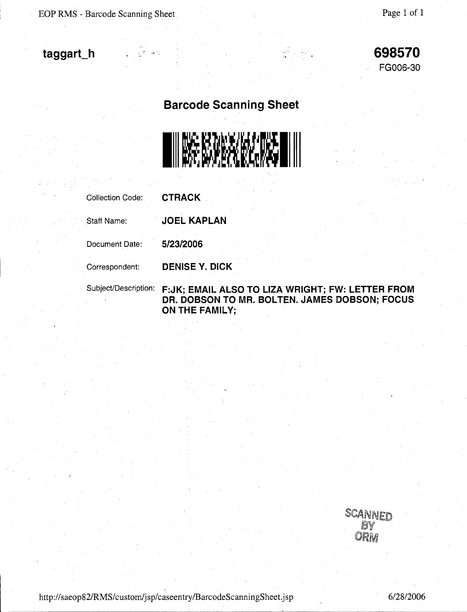EOP RMS - Barcode Scanning Sheet

## **taggart\_h**

**698570**  FG006-30

**Barcode Scanning Sheet** 



| <b>Collection Code:</b> | <b>CTRACK</b>                                     |                                               |  |
|-------------------------|---------------------------------------------------|-----------------------------------------------|--|
| Staff Name:             | <b>JOEL KAPLAN</b>                                |                                               |  |
| Document Date:          | 5/23/2006                                         |                                               |  |
| Correspondent:          | <b>DENISE Y. DICK</b>                             |                                               |  |
| Subject/Description:    | F: JK; EMAIL ALSO TO LIZA WRIGHT; FW: LETTER FROM | DR. DOBSON TO MR. BOLTEN. JAMES DOBSON; FOCUS |  |

**ON THE FAMILY;** 

SCANNED ORM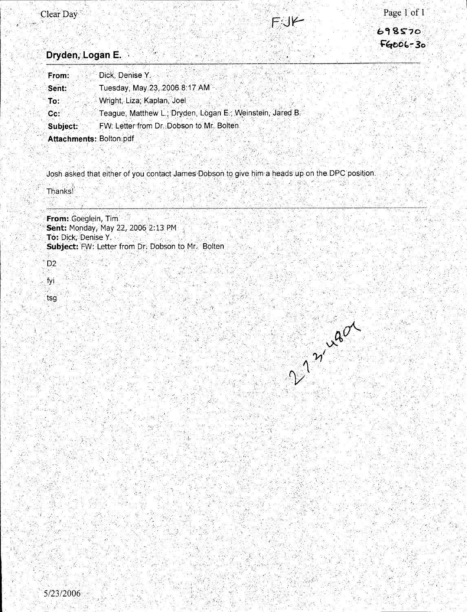2 miles

 $\sim 6.5$ 

### Dryden, Logan E.

| From:                   | Dick, Denise Y                                            |
|-------------------------|-----------------------------------------------------------|
| Sent:                   | Tuesday, May 23, 2006 8:17 AM                             |
| To:                     | Wright, Liza; Kaplan, Joel                                |
| Cc:                     | Teague, Matthew L.; Dryden, Logan E.; Weinstein, Jared B. |
| Subject:                | FW: Letter from Dr. Dobson to Mr. Bolten                  |
| Attachments: Bolton.pdf |                                                           |

Josh asked that either of you contact James Dobson to give him a heads up on the DPC position.

Thanks

From: Goeglein, Tim. Sent: Monday, May 22, 2006 2:13 PM To: Dick, Denise Y. Subject: FW: Letter from Dr. Dobson to Mr. Bolten

D<sub>2</sub>

fyi

tsg